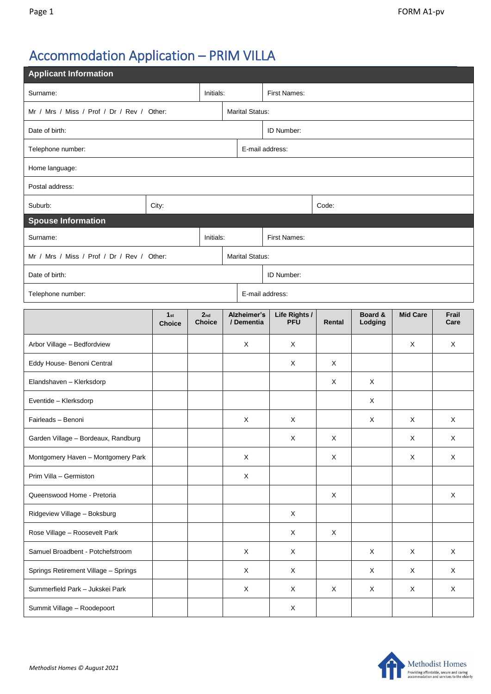## Accommodation Application – PRIM VILLA

| <b>Applicant Information</b>                                         |                                  |  |                                  |                           |                             |             |                    |                 |               |  |  |
|----------------------------------------------------------------------|----------------------------------|--|----------------------------------|---------------------------|-----------------------------|-------------|--------------------|-----------------|---------------|--|--|
| Surname:<br>Initials:                                                |                                  |  |                                  | First Names:              |                             |             |                    |                 |               |  |  |
| Mr / Mrs / Miss / Prof / Dr / Rev / Other:                           | <b>Marital Status:</b>           |  |                                  |                           |                             |             |                    |                 |               |  |  |
| Date of birth:                                                       |                                  |  |                                  |                           | ID Number:                  |             |                    |                 |               |  |  |
| Telephone number:                                                    |                                  |  |                                  |                           | E-mail address:             |             |                    |                 |               |  |  |
| Home language:                                                       |                                  |  |                                  |                           |                             |             |                    |                 |               |  |  |
| Postal address:                                                      |                                  |  |                                  |                           |                             |             |                    |                 |               |  |  |
| Suburb:                                                              | City:                            |  |                                  |                           |                             | Code:       |                    |                 |               |  |  |
| <b>Spouse Information</b>                                            |                                  |  |                                  |                           |                             |             |                    |                 |               |  |  |
| Surname:<br>Initials:                                                |                                  |  |                                  | First Names:              |                             |             |                    |                 |               |  |  |
| <b>Marital Status:</b><br>Mr / Mrs / Miss / Prof / Dr / Rev / Other: |                                  |  |                                  |                           |                             |             |                    |                 |               |  |  |
| Date of birth:                                                       |                                  |  |                                  | ID Number:                |                             |             |                    |                 |               |  |  |
| E-mail address:<br>Telephone number:                                 |                                  |  |                                  |                           |                             |             |                    |                 |               |  |  |
|                                                                      | 1 <sub>st</sub><br><b>Choice</b> |  | 2 <sub>nd</sub><br><b>Choice</b> | Alzheimer's<br>/ Dementia | Life Rights /<br><b>PFU</b> | Rental      | Board &<br>Lodging | <b>Mid Care</b> | Frail<br>Care |  |  |
| Arbor Village - Bedfordview                                          |                                  |  |                                  | X                         | X                           |             |                    | X               | X             |  |  |
| Eddy House- Benoni Central                                           |                                  |  |                                  |                           | X                           | X           |                    |                 |               |  |  |
| Elandshaven - Klerksdorp                                             |                                  |  |                                  |                           |                             | X           | X                  |                 |               |  |  |
| Eventide - Klerksdorp                                                |                                  |  |                                  |                           |                             |             | X                  |                 |               |  |  |
| Fairleads - Benoni                                                   |                                  |  |                                  | X                         | X                           |             | X                  | Χ               | X             |  |  |
| Garden Village - Bordeaux, Randburg                                  |                                  |  |                                  |                           | X                           | X           |                    | Х               | Х             |  |  |
| Montgomery Haven - Montgomery Park                                   |                                  |  |                                  | $\mathsf X$               |                             | $\mathsf X$ |                    | $\mathsf X$     | $\mathsf X$   |  |  |
| Prim Villa - Germiston                                               |                                  |  |                                  | X                         |                             |             |                    |                 |               |  |  |
| Queenswood Home - Pretoria                                           |                                  |  |                                  |                           |                             | X           |                    |                 | X             |  |  |
| Ridgeview Village - Boksburg                                         |                                  |  |                                  |                           | X                           |             |                    |                 |               |  |  |
| Rose Village - Roosevelt Park                                        |                                  |  |                                  |                           | X                           | X           |                    |                 |               |  |  |
| Samuel Broadbent - Potchefstroom                                     |                                  |  |                                  | $\mathsf X$               | X                           |             | X                  | X               | $\mathsf X$   |  |  |
| Springs Retirement Village - Springs                                 |                                  |  |                                  | X                         | X                           |             | X                  | X               | $\mathsf{X}$  |  |  |
| Summerfield Park - Jukskei Park                                      |                                  |  |                                  | $\mathsf X$               | X                           | $\mathsf X$ | $\mathsf X$        | X               | $\mathsf X$   |  |  |
| Summit Village - Roodepoort                                          |                                  |  | X                                |                           |                             |             |                    |                 |               |  |  |

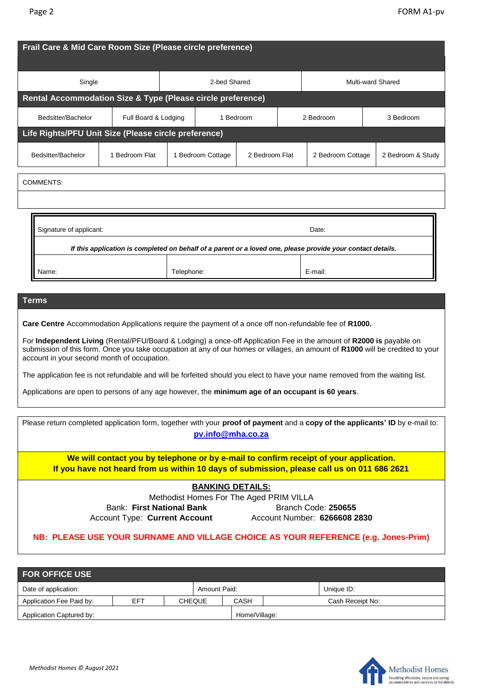| Frail Care & Mid Care Room Size (Please circle preference)                                                                                                                                                                                                                                                                                                                                                                   |                      |            |                   |                |                   |                   |                                                                                                                                |  |  |
|------------------------------------------------------------------------------------------------------------------------------------------------------------------------------------------------------------------------------------------------------------------------------------------------------------------------------------------------------------------------------------------------------------------------------|----------------------|------------|-------------------|----------------|-------------------|-------------------|--------------------------------------------------------------------------------------------------------------------------------|--|--|
| Single                                                                                                                                                                                                                                                                                                                                                                                                                       | 2-bed Shared         |            |                   |                | Multi-ward Shared |                   |                                                                                                                                |  |  |
| Rental Accommodation Size & Type (Please circle preference)                                                                                                                                                                                                                                                                                                                                                                  |                      |            |                   |                |                   |                   |                                                                                                                                |  |  |
| Bedsitter/Bachelor                                                                                                                                                                                                                                                                                                                                                                                                           | Full Board & Lodging |            | 1 Bedroom         |                |                   | 2 Bedroom         | 3 Bedroom                                                                                                                      |  |  |
| Life Rights/PFU Unit Size (Please circle preference)                                                                                                                                                                                                                                                                                                                                                                         |                      |            |                   |                |                   |                   |                                                                                                                                |  |  |
| Bedsitter/Bachelor                                                                                                                                                                                                                                                                                                                                                                                                           | 1 Bedroom Flat       |            | 1 Bedroom Cottage | 2 Bedroom Flat |                   | 2 Bedroom Cottage | 2 Bedroom & Study                                                                                                              |  |  |
| <b>COMMENTS:</b>                                                                                                                                                                                                                                                                                                                                                                                                             |                      |            |                   |                |                   |                   |                                                                                                                                |  |  |
|                                                                                                                                                                                                                                                                                                                                                                                                                              |                      |            |                   |                |                   |                   |                                                                                                                                |  |  |
|                                                                                                                                                                                                                                                                                                                                                                                                                              |                      |            |                   |                |                   |                   |                                                                                                                                |  |  |
| Signature of applicant:<br>Date:                                                                                                                                                                                                                                                                                                                                                                                             |                      |            |                   |                |                   |                   |                                                                                                                                |  |  |
| If this application is completed on behalf of a parent or a loved one, please provide your contact details.                                                                                                                                                                                                                                                                                                                  |                      |            |                   |                |                   |                   |                                                                                                                                |  |  |
|                                                                                                                                                                                                                                                                                                                                                                                                                              |                      |            |                   |                |                   |                   |                                                                                                                                |  |  |
|                                                                                                                                                                                                                                                                                                                                                                                                                              |                      |            |                   |                |                   |                   |                                                                                                                                |  |  |
| Name:                                                                                                                                                                                                                                                                                                                                                                                                                        |                      | Telephone: |                   |                |                   | E-mail:           |                                                                                                                                |  |  |
|                                                                                                                                                                                                                                                                                                                                                                                                                              |                      |            |                   |                |                   |                   |                                                                                                                                |  |  |
|                                                                                                                                                                                                                                                                                                                                                                                                                              |                      |            |                   |                |                   |                   |                                                                                                                                |  |  |
|                                                                                                                                                                                                                                                                                                                                                                                                                              |                      |            |                   |                |                   |                   |                                                                                                                                |  |  |
|                                                                                                                                                                                                                                                                                                                                                                                                                              |                      |            |                   |                |                   |                   | submission of this form. Once you take occupation at any of our homes or villages, an amount of R1000 will be credited to your |  |  |
| <b>Terms</b><br>Care Centre Accommodation Applications require the payment of a once off non-refundable fee of R1000.<br>For Independent Living (Rental/PFU/Board & Lodging) a once-off Application Fee in the amount of R2000 is payable on<br>account in your second month of occupation.<br>The application fee is not refundable and will be forfeited should you elect to have your name removed from the waiting list. |                      |            |                   |                |                   |                   |                                                                                                                                |  |  |

| Please return completed application form, together with your proof of payment and a copy of the applicants' ID by e-mail to: |                                                                                       |  |  |  |  |  |  |
|------------------------------------------------------------------------------------------------------------------------------|---------------------------------------------------------------------------------------|--|--|--|--|--|--|
|                                                                                                                              | pv.info@mha.co.za                                                                     |  |  |  |  |  |  |
| If you have not heard from us within 10 days of submission, please call us on 011 686 2621                                   | We will contact you by telephone or by e-mail to confirm receipt of your application. |  |  |  |  |  |  |
| <b>BANKING DETAILS:</b>                                                                                                      |                                                                                       |  |  |  |  |  |  |
| Methodist Homes For The Aged PRIM VILLA                                                                                      |                                                                                       |  |  |  |  |  |  |
| Bank: First National Bank                                                                                                    | Branch Code: 250655                                                                   |  |  |  |  |  |  |
| <b>Account Type: Current Account</b>                                                                                         | Account Number: 6266608 2830                                                          |  |  |  |  |  |  |
|                                                                                                                              | NB: PLEASE USE YOUR SURNAME AND VILLAGE CHOICE AS YOUR REFERENCE (e.g. Jones-Prim)    |  |  |  |  |  |  |

| <b>FOR OFFICE USE</b>    |     |               |              |               |  |                  |  |  |
|--------------------------|-----|---------------|--------------|---------------|--|------------------|--|--|
| Date of application:     |     |               | Amount Paid: |               |  | Unique ID:       |  |  |
| Application Fee Paid by: | EFT | <b>CHEQUE</b> |              | CASH          |  | Cash Receipt No: |  |  |
| Application Captured by: |     |               |              | Home/Village: |  |                  |  |  |

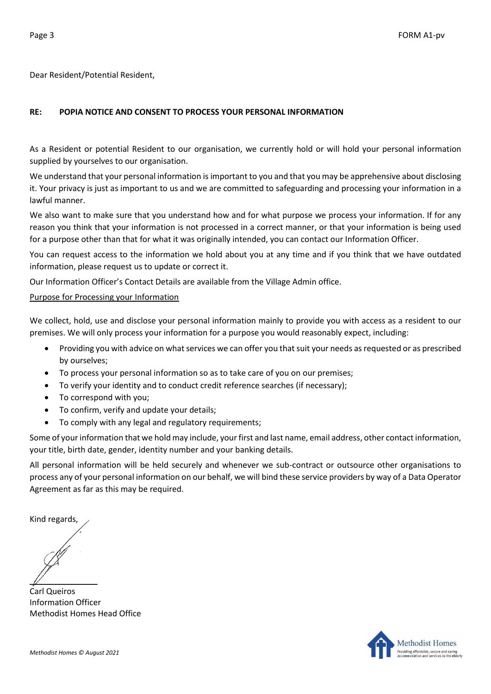Dear Resident/Potential Resident,

## **RE: POPIA NOTICE AND CONSENT TO PROCESS YOUR PERSONAL INFORMATION**

As a Resident or potential Resident to our organisation, we currently hold or will hold your personal information supplied by yourselves to our organisation.

We understand that your personal information is important to you and that you may be apprehensive about disclosing it. Your privacy is just as important to us and we are committed to safeguarding and processing your information in a lawful manner.

We also want to make sure that you understand how and for what purpose we process your information. If for any reason you think that your information is not processed in a correct manner, or that your information is being used for a purpose other than that for what it was originally intended, you can contact our Information Officer.

You can request access to the information we hold about you at any time and if you think that we have outdated information, please request us to update or correct it.

Our Information Officer's Contact Details are available from the Village Admin office.

## Purpose for Processing your Information

We collect, hold, use and disclose your personal information mainly to provide you with access as a resident to our premises. We will only process your information for a purpose you would reasonably expect, including:

- Providing you with advice on what services we can offer you that suit your needs as requested or as prescribed by ourselves;
- To process your personal information so as to take care of you on our premises;
- To verify your identity and to conduct credit reference searches (if necessary);
- To correspond with you;
- To confirm, verify and update your details;
- To comply with any legal and regulatory requirements;

Some of your information that we hold may include, your first and last name, email address, other contact information, your title, birth date, gender, identity number and your banking details.

All personal information will be held securely and whenever we sub-contract or outsource other organisations to process any of your personal information on our behalf, we will bind these service providers by way of a Data Operator Agreement as far as this may be required.

Kind regards,

 $\mathbb{Z}$ 

Carl Queiros Information Officer Methodist Homes Head Office